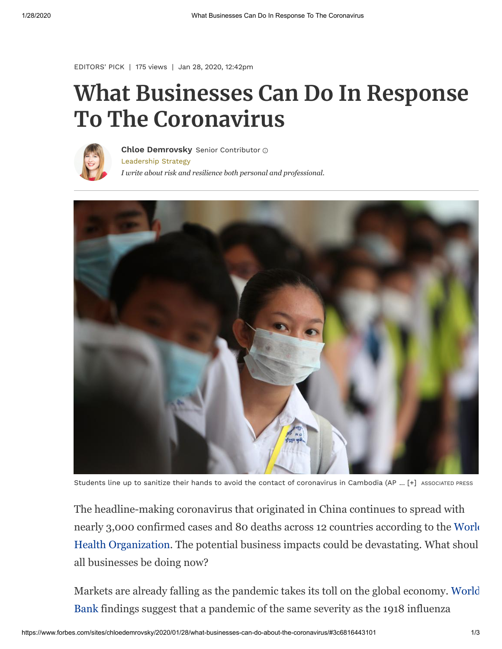[EDITORS' PICK](https://www.forbes.com/editors-picks) | 175 views | Jan 28, 2020, 12:42pm

## **What Businesses Can Do In Response To The Coronavirus**



[Leadership Strategy](https://www.forbes.com/leadership-strategy) *I write about risk and resilience both personal and professional.* **[Chloe Demrovsky](https://www.forbes.com/sites/chloedemrovsky/)** Senior Contributor



Students line up to sanitize their hands to avoid the contact of coronavirus in Cambodia (AP ... [+] ASSOCIATED PRESS

The headline-making coronavirus that originated in China continues to spread with [nearly 3,000 confirmed cases and 80 deaths across 12 countries according to the World](https://www.who.int/docs/default-source/coronaviruse/situation-reports/20200127-sitrep-7-2019--ncov.pdf?sfvrsn=98ef79f5_2) Health Organization. The potential business impacts could be devastating. What shoul all businesses be doing now?

[Markets are already falling as the pandemic takes its toll on the global economy. World](https://www.who.int/bulletin/volumes/96/2/17-199588/en/) Bank findings suggest that a pandemic of the same severity as the 1918 influenza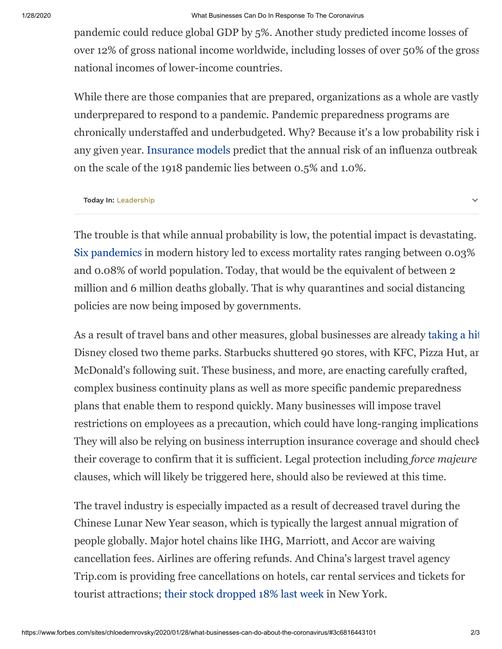## 1/28/2020 What Businesses Can Do In Response To The Coronavirus

pandemic could reduce global GDP by 5%. Another study predicted income losses of over 12% of gross national income worldwide, including losses of over 50% of the gross national incomes of lower-income countries.

While there are those companies that are prepared, organizations as a whole are vastly underprepared to respond to a pandemic. Pandemic preparedness programs are chronically understaffed and underbudgeted. Why? Because it's a low probability risk i any given year. [Insurance models](http://dcp-3.org/sites/default/files/chapters/DCP3%20Volume%209_Ch%2017.pdf) predict that the annual risk of an influenza outbreak on the scale of the 1918 pandemic lies between 0.5% and 1.0%.

**Today In:** [Leadership](https://www.forbes.com/leadership-strategy)

The trouble is that while annual probability is low, the potential impact is devastating. [Six pandemics](https://www.who.int/bulletin/volumes/96/2/17-199588/en/) in modern history led to excess mortality rates ranging between 0.03% and 0.08% of world population. Today, that would be the equivalent of between 2 million and 6 million deaths globally. That is why quarantines and social distancing policies are now being imposed by governments.

As a result of travel bans and other measures, global businesses are already [taking a hit](https://www.cnn.com/2020/01/27/business/coronavirus-business-closures/index.html) Disney closed two theme parks. Starbucks shuttered 90 stores, with KFC, Pizza Hut, an McDonald's following suit. These business, and more, are enacting carefully crafted, complex business continuity plans as well as more specific pandemic preparedness plans that enable them to respond quickly. Many businesses will impose travel restrictions on employees as a precaution, which could have long-ranging implications They will also be relying on business interruption insurance coverage and should check their coverage to confirm that it is sufficient. Legal protection including *force majeure* clauses, which will likely be triggered here, should also be reviewed at this time.

The travel industry is especially impacted as a result of decreased travel during the Chinese Lunar New Year season, which is typically the largest annual migration of people globally. Major hotel chains like IHG, Marriott, and Accor are waiving cancellation fees. Airlines are offering refunds. And China's largest travel agency Trip.com is providing free cancellations on hotels, car rental services and tickets for tourist attractions; [their stock dropped 18% last week](https://www.marketwatch.com/investing/stock/tcom?mod=MW_story_quote) in New York.

 $\checkmark$